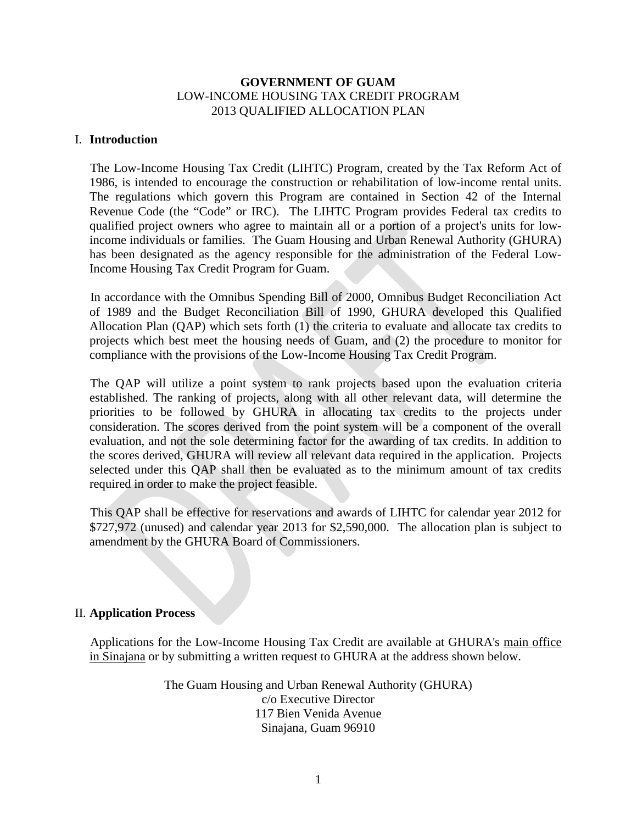# **GOVERNMENT OF GUAM** LOW-INCOME HOUSING TAX CREDIT PROGRAM 2013 QUALIFIED ALLOCATION PLAN

# I. **Introduction**

The Low-Income Housing Tax Credit (LIHTC) Program, created by the Tax Reform Act of 1986, is intended to encourage the construction or rehabilitation of low-income rental units. The regulations which govern this Program are contained in Section 42 of the Internal Revenue Code (the "Code" or IRC). The LIHTC Program provides Federal tax credits to qualified project owners who agree to maintain all or a portion of a project's units for lowincome individuals or families. The Guam Housing and Urban Renewal Authority (GHURA) has been designated as the agency responsible for the administration of the Federal Low-Income Housing Tax Credit Program for Guam.

In accordance with the Omnibus Spending Bill of 2000, Omnibus Budget Reconciliation Act of 1989 and the Budget Reconciliation Bill of 1990, GHURA developed this Qualified Allocation Plan (QAP) which sets forth (1) the criteria to evaluate and allocate tax credits to projects which best meet the housing needs of Guam, and (2) the procedure to monitor for compliance with the provisions of the Low-Income Housing Tax Credit Program.

The QAP will utilize a point system to rank projects based upon the evaluation criteria established. The ranking of projects, along with all other relevant data, will determine the priorities to be followed by GHURA in allocating tax credits to the projects under consideration. The scores derived from the point system will be a component of the overall evaluation, and not the sole determining factor for the awarding of tax credits. In addition to the scores derived, GHURA will review all relevant data required in the application. Projects selected under this QAP shall then be evaluated as to the minimum amount of tax credits required in order to make the project feasible.

This QAP shall be effective for reservations and awards of LIHTC for calendar year 2012 for \$727,972 (unused) and calendar year 2013 for \$2,590,000. The allocation plan is subject to amendment by the GHURA Board of Commissioners.

# II. **Application Process**

Applications for the Low-Income Housing Tax Credit are available at GHURA's main office in Sinajana or by submitting a written request to GHURA at the address shown below.

> The Guam Housing and Urban Renewal Authority (GHURA) c/o Executive Director 117 Bien Venida Avenue Sinajana, Guam 96910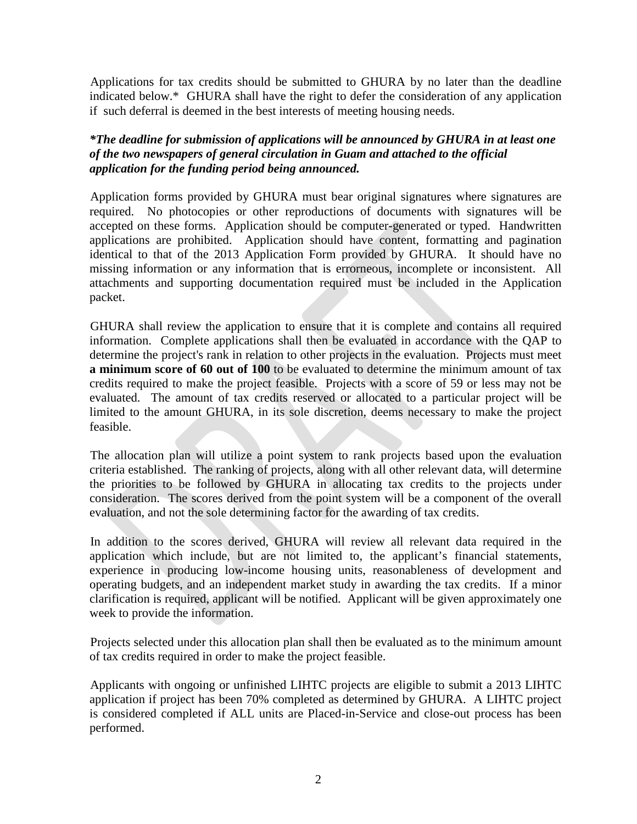Applications for tax credits should be submitted to GHURA by no later than the deadline indicated below.\* GHURA shall have the right to defer the consideration of any application if such deferral is deemed in the best interests of meeting housing needs.

*\*The deadline for submission of applications will be announced by GHURA in at least one of the two newspapers of general circulation in Guam and attached to the official application for the funding period being announced.*

Application forms provided by GHURA must bear original signatures where signatures are required. No photocopies or other reproductions of documents with signatures will be accepted on these forms. Application should be computer-generated or typed. Handwritten applications are prohibited. Application should have content, formatting and pagination identical to that of the 2013 Application Form provided by GHURA. It should have no missing information or any information that is errorneous, incomplete or inconsistent. All attachments and supporting documentation required must be included in the Application packet.

GHURA shall review the application to ensure that it is complete and contains all required information. Complete applications shall then be evaluated in accordance with the QAP to determine the project's rank in relation to other projects in the evaluation. Projects must meet **a minimum score of 60 out of 100** to be evaluated to determine the minimum amount of tax credits required to make the project feasible. Projects with a score of 59 or less may not be evaluated. The amount of tax credits reserved or allocated to a particular project will be limited to the amount GHURA, in its sole discretion, deems necessary to make the project feasible.

The allocation plan will utilize a point system to rank projects based upon the evaluation criteria established. The ranking of projects, along with all other relevant data, will determine the priorities to be followed by GHURA in allocating tax credits to the projects under consideration. The scores derived from the point system will be a component of the overall evaluation, and not the sole determining factor for the awarding of tax credits.

In addition to the scores derived, GHURA will review all relevant data required in the application which include, but are not limited to, the applicant's financial statements, experience in producing low-income housing units, reasonableness of development and operating budgets, and an independent market study in awarding the tax credits. If a minor clarification is required, applicant will be notified. Applicant will be given approximately one week to provide the information.

Projects selected under this allocation plan shall then be evaluated as to the minimum amount of tax credits required in order to make the project feasible.

Applicants with ongoing or unfinished LIHTC projects are eligible to submit a 2013 LIHTC application if project has been 70% completed as determined by GHURA. A LIHTC project is considered completed if ALL units are Placed-in-Service and close-out process has been performed.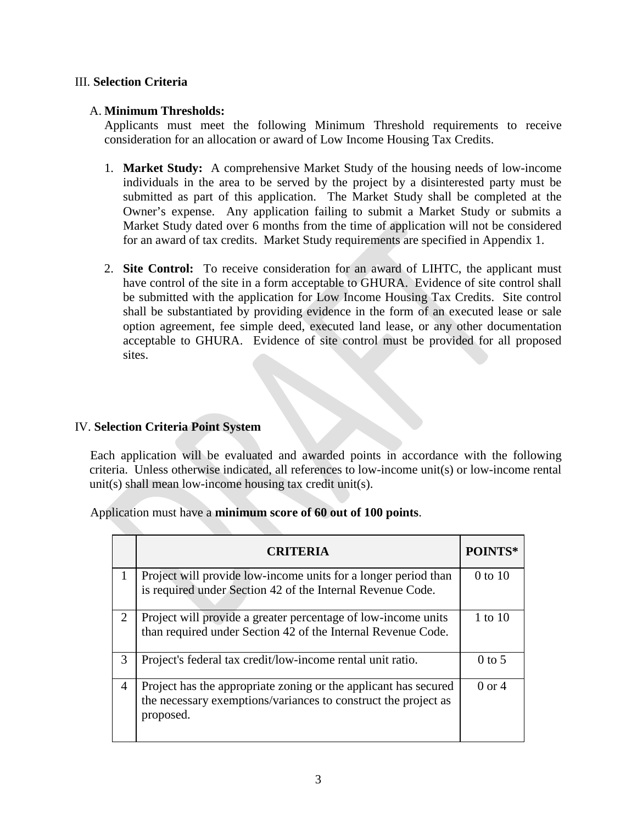# III. **Selection Criteria**

# A. **Minimum Thresholds:**

Applicants must meet the following Minimum Threshold requirements to receive consideration for an allocation or award of Low Income Housing Tax Credits.

- 1. **Market Study:** A comprehensive Market Study of the housing needs of low-income individuals in the area to be served by the project by a disinterested party must be submitted as part of this application. The Market Study shall be completed at the Owner's expense. Any application failing to submit a Market Study or submits a Market Study dated over 6 months from the time of application will not be considered for an award of tax credits. Market Study requirements are specified in Appendix 1.
- 2. **Site Control:** To receive consideration for an award of LIHTC, the applicant must have control of the site in a form acceptable to GHURA. Evidence of site control shall be submitted with the application for Low Income Housing Tax Credits. Site control shall be substantiated by providing evidence in the form of an executed lease or sale option agreement, fee simple deed, executed land lease, or any other documentation acceptable to GHURA. Evidence of site control must be provided for all proposed sites.

# IV. **Selection Criteria Point System**

Each application will be evaluated and awarded points in accordance with the following criteria. Unless otherwise indicated, all references to low-income unit(s) or low-income rental unit(s) shall mean low-income housing tax credit unit(s).

Application must have a **minimum score of 60 out of 100 points**.

|                       | <b>CRITERIA</b>                                                                                                                                | POINTS*           |
|-----------------------|------------------------------------------------------------------------------------------------------------------------------------------------|-------------------|
|                       | Project will provide low-income units for a longer period than<br>is required under Section 42 of the Internal Revenue Code.                   | $0$ to $10$       |
| $\mathcal{D}_{\cdot}$ | Project will provide a greater percentage of low-income units<br>than required under Section 42 of the Internal Revenue Code.                  | 1 to 10           |
| 3                     | Project's federal tax credit/low-income rental unit ratio.                                                                                     | $0$ to 5          |
| 4                     | Project has the appropriate zoning or the applicant has secured<br>the necessary exemptions/variances to construct the project as<br>proposed. | $0 \text{ or } 4$ |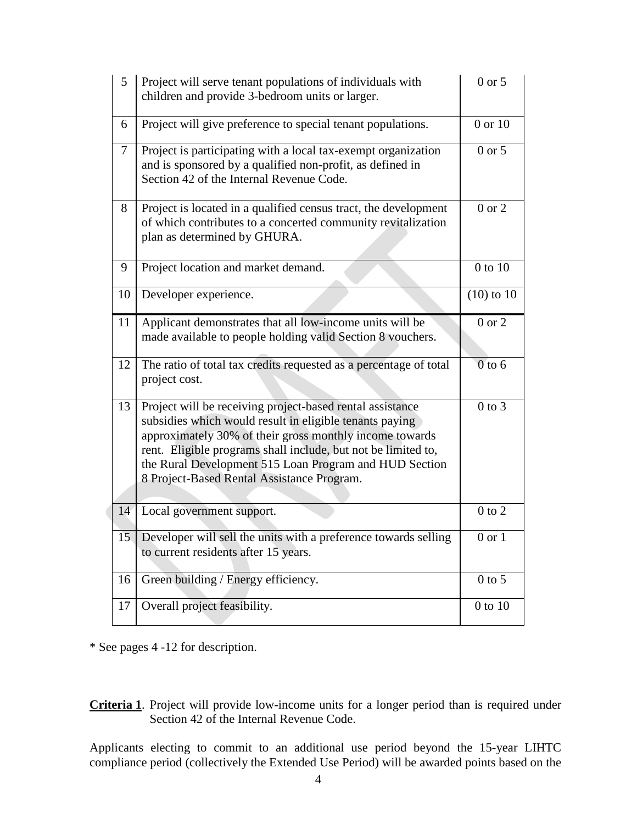| $5\overline{)}$ | Project will serve tenant populations of individuals with<br>children and provide 3-bedroom units or larger.                                                                                                                                                                                                                                             | $0$ or $5$   |
|-----------------|----------------------------------------------------------------------------------------------------------------------------------------------------------------------------------------------------------------------------------------------------------------------------------------------------------------------------------------------------------|--------------|
| 6               | Project will give preference to special tenant populations.                                                                                                                                                                                                                                                                                              | 0 or 10      |
| $\tau$          | Project is participating with a local tax-exempt organization<br>and is sponsored by a qualified non-profit, as defined in<br>Section 42 of the Internal Revenue Code.                                                                                                                                                                                   | $0$ or $5$   |
| 8               | Project is located in a qualified census tract, the development<br>of which contributes to a concerted community revitalization<br>plan as determined by GHURA.                                                                                                                                                                                          | $0$ or $2$   |
| 9               | Project location and market demand.                                                                                                                                                                                                                                                                                                                      | $0$ to $10$  |
| 10              | Developer experience.                                                                                                                                                                                                                                                                                                                                    | $(10)$ to 10 |
| 11              | Applicant demonstrates that all low-income units will be<br>made available to people holding valid Section 8 vouchers.                                                                                                                                                                                                                                   | $0$ or $2$   |
| 12              | The ratio of total tax credits requested as a percentage of total<br>project cost.                                                                                                                                                                                                                                                                       | $0$ to 6     |
| 13              | Project will be receiving project-based rental assistance<br>subsidies which would result in eligible tenants paying<br>approximately 30% of their gross monthly income towards<br>rent. Eligible programs shall include, but not be limited to,<br>the Rural Development 515 Loan Program and HUD Section<br>8 Project-Based Rental Assistance Program. | $0$ to $3$   |
| 14              | Local government support.                                                                                                                                                                                                                                                                                                                                | $0$ to $2$   |
|                 | 15 Developer will sell the units with a preference towards selling<br>to current residents after 15 years.                                                                                                                                                                                                                                               | 0 or 1       |
| 16              | Green building / Energy efficiency.                                                                                                                                                                                                                                                                                                                      | $0$ to 5     |
| 17              | Overall project feasibility.                                                                                                                                                                                                                                                                                                                             | $0$ to $10$  |

\* See pages 4 -12 for description.

**Criteria 1**. Project will provide low-income units for a longer period than is required under Section 42 of the Internal Revenue Code.

Applicants electing to commit to an additional use period beyond the 15-year LIHTC compliance period (collectively the Extended Use Period) will be awarded points based on the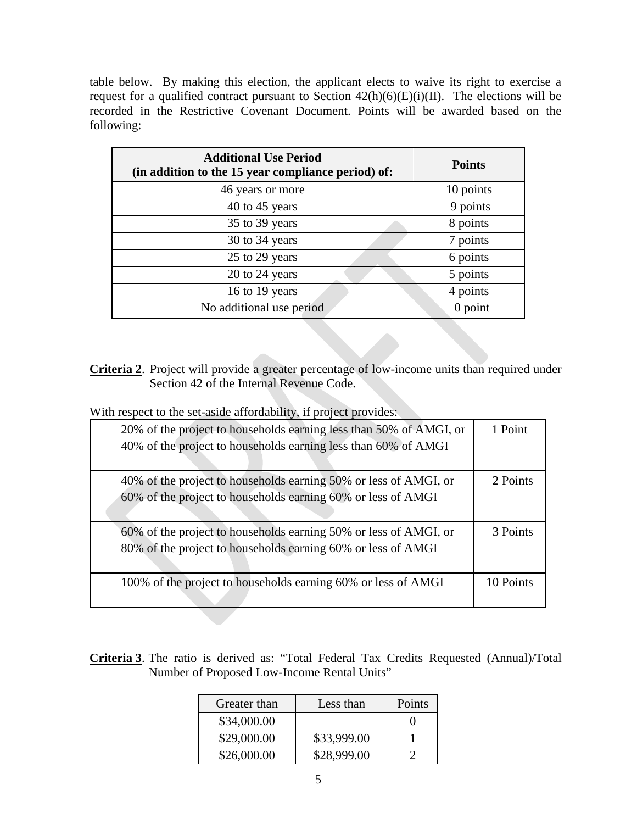table below. By making this election, the applicant elects to waive its right to exercise a request for a qualified contract pursuant to Section  $42(h)(6)(E)(i)(II)$ . The elections will be recorded in the Restrictive Covenant Document. Points will be awarded based on the following:

| <b>Additional Use Period</b><br>(in addition to the 15 year compliance period) of: | <b>Points</b> |
|------------------------------------------------------------------------------------|---------------|
| 46 years or more                                                                   | 10 points     |
| 40 to 45 years                                                                     | 9 points      |
| 35 to 39 years                                                                     | 8 points      |
| 30 to 34 years                                                                     | 7 points      |
| 25 to 29 years                                                                     | 6 points      |
| 20 to 24 years                                                                     | 5 points      |
| 16 to 19 years                                                                     | 4 points      |
| No additional use period                                                           | $0$ point     |

**Criteria 2**. Project will provide a greater percentage of low-income units than required under Section 42 of the Internal Revenue Code.

With respect to the set-aside affordability, if project provides:

| 20% of the project to households earning less than 50% of AMGI, or<br>40% of the project to households earning less than 60% of AMGI | 1 Point   |
|--------------------------------------------------------------------------------------------------------------------------------------|-----------|
| 40% of the project to households earning 50% or less of AMGI, or<br>60% of the project to households earning 60% or less of AMGI     | 2 Points  |
| 60% of the project to households earning 50% or less of AMGI, or<br>80% of the project to households earning 60% or less of AMGI     | 3 Points  |
| 100% of the project to households earning 60% or less of AMGI                                                                        | 10 Points |

**Criteria 3**. The ratio is derived as: "Total Federal Tax Credits Requested (Annual)/Total Number of Proposed Low-Income Rental Units"

| Greater than | Less than   | Points |
|--------------|-------------|--------|
| \$34,000.00  |             |        |
| \$29,000.00  | \$33,999.00 |        |
| \$26,000.00  | \$28,999.00 |        |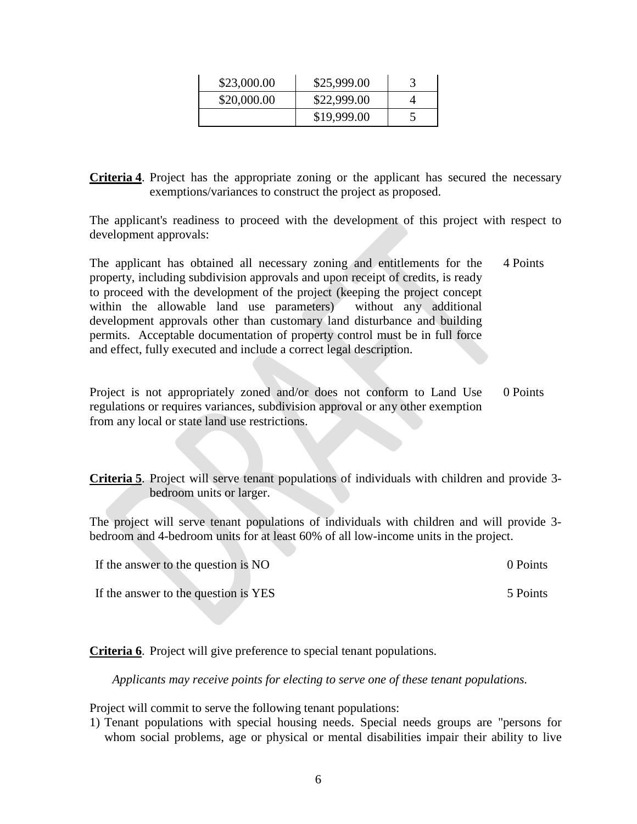| \$23,000.00 | \$25,999.00 |  |
|-------------|-------------|--|
| \$20,000.00 | \$22,999.00 |  |
|             | \$19,999.00 |  |

**Criteria 4**. Project has the appropriate zoning or the applicant has secured the necessary exemptions/variances to construct the project as proposed.

The applicant's readiness to proceed with the development of this project with respect to development approvals:

The applicant has obtained all necessary zoning and entitlements for the property, including subdivision approvals and upon receipt of credits, is ready to proceed with the development of the project (keeping the project concept within the allowable land use parameters) without any additional development approvals other than customary land disturbance and building permits. Acceptable documentation of property control must be in full force and effect, fully executed and include a correct legal description. 4 Points

Project is not appropriately zoned and/or does not conform to Land Use regulations or requires variances, subdivision approval or any other exemption from any local or state land use restrictions. 0 Points

**Criteria 5**. Project will serve tenant populations of individuals with children and provide 3 bedroom units or larger.

The project will serve tenant populations of individuals with children and will provide 3 bedroom and 4-bedroom units for at least 60% of all low-income units in the project.

| If the answer to the question is NO  | 0 Points |
|--------------------------------------|----------|
| If the answer to the question is YES | 5 Points |

**Criteria 6**. Project will give preference to special tenant populations.

*Applicants may receive points for electing to serve one of these tenant populations.*

Project will commit to serve the following tenant populations:

1) Tenant populations with special housing needs. Special needs groups are "persons for whom social problems, age or physical or mental disabilities impair their ability to live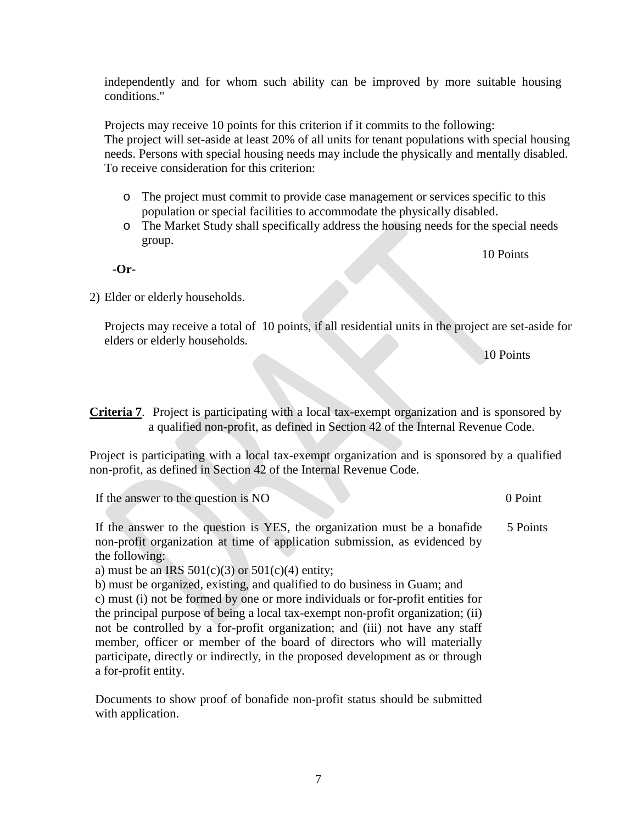independently and for whom such ability can be improved by more suitable housing conditions."

Projects may receive 10 points for this criterion if it commits to the following: The project will set-aside at least 20% of all units for tenant populations with special housing needs. Persons with special housing needs may include the physically and mentally disabled. To receive consideration for this criterion:

- o The project must commit to provide case management or services specific to this population or special facilities to accommodate the physically disabled.
- o The Market Study shall specifically address the housing needs for the special needs group.

10 Points

2) Elder or elderly households.

**-Or-**

Projects may receive a total of 10 points, if all residential units in the project are set-aside for elders or elderly households.

10 Points

**Criteria 7**. Project is participating with a local tax-exempt organization and is sponsored by a qualified non-profit, as defined in Section 42 of the Internal Revenue Code.

Project is participating with a local tax-exempt organization and is sponsored by a qualified non-profit, as defined in Section 42 of the Internal Revenue Code.

If the answer to the question is NO 0 Point 0 Point

If the answer to the question is YES, the organization must be a bonafide non-profit organization at time of application submission, as evidenced by the following: 5 Points

a) must be an IRS  $501(c)(3)$  or  $501(c)(4)$  entity;

b) must be organized, existing, and qualified to do business in Guam; and c) must (i) not be formed by one or more individuals or for-profit entities for the principal purpose of being a local tax-exempt non-profit organization; (ii) not be controlled by a for-profit organization; and (iii) not have any staff member, officer or member of the board of directors who will materially participate, directly or indirectly, in the proposed development as or through a for-profit entity.

Documents to show proof of bonafide non-profit status should be submitted with application.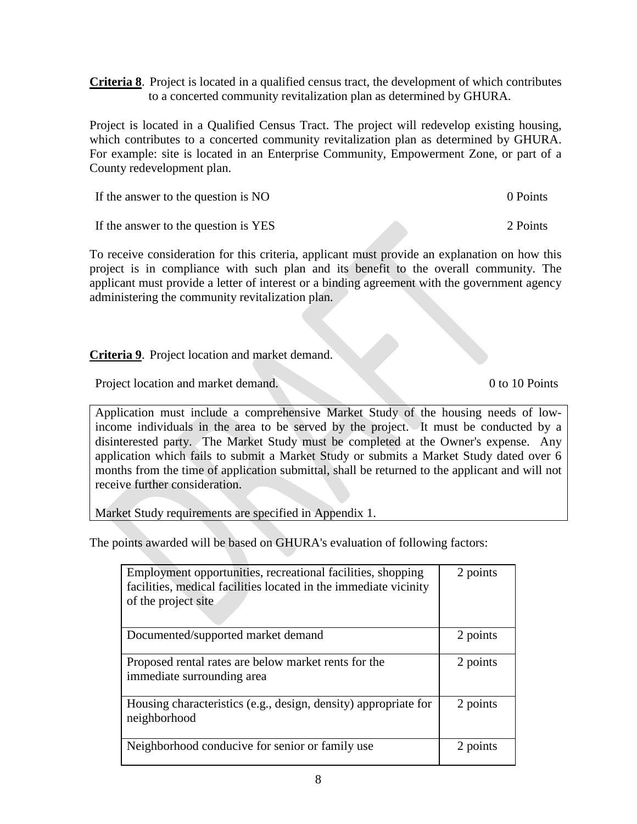**Criteria 8**. Project is located in a qualified census tract, the development of which contributes to a concerted community revitalization plan as determined by GHURA.

Project is located in a Qualified Census Tract. The project will redevelop existing housing, which contributes to a concerted community revitalization plan as determined by GHURA. For example: site is located in an Enterprise Community, Empowerment Zone, or part of a County redevelopment plan.

If the answer to the question is NO 0 Points 0 Points

If the answer to the question is YES 2 Points

To receive consideration for this criteria, applicant must provide an explanation on how this project is in compliance with such plan and its benefit to the overall community. The applicant must provide a letter of interest or a binding agreement with the government agency administering the community revitalization plan.

**Criteria 9**. Project location and market demand.

Project location and market demand. 0 to 10 Points

Application must include a comprehensive Market Study of the housing needs of lowincome individuals in the area to be served by the project. It must be conducted by a disinterested party. The Market Study must be completed at the Owner's expense. Any application which fails to submit a Market Study or submits a Market Study dated over 6 months from the time of application submittal, shall be returned to the applicant and will not receive further consideration.

Market Study requirements are specified in Appendix 1.

The points awarded will be based on GHURA's evaluation of following factors:

| Employment opportunities, recreational facilities, shopping<br>facilities, medical facilities located in the immediate vicinity<br>of the project site | 2 points |
|--------------------------------------------------------------------------------------------------------------------------------------------------------|----------|
| Documented/supported market demand                                                                                                                     | 2 points |
| Proposed rental rates are below market rents for the<br>immediate surrounding area                                                                     | 2 points |
| Housing characteristics (e.g., design, density) appropriate for<br>neighborhood                                                                        | 2 points |
| Neighborhood conducive for senior or family use                                                                                                        | 2 points |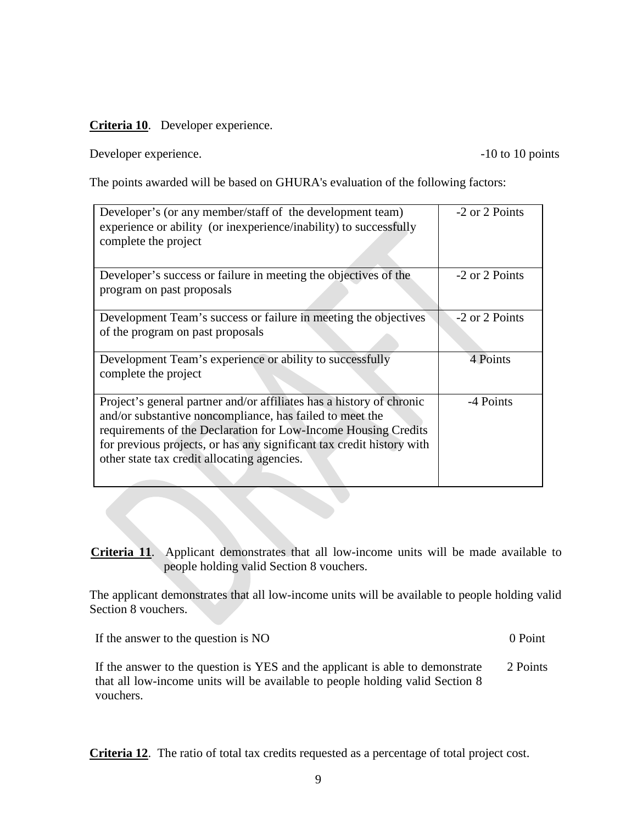# **Criteria 10**. Developer experience.

Developer experience.  $-10$  to 10 points

The points awarded will be based on GHURA's evaluation of the following factors:

| Developer's (or any member/staff of the development team)<br>experience or ability (or inexperience/inability) to successfully<br>complete the project                                                                                                                                                                     | -2 or 2 Points |
|----------------------------------------------------------------------------------------------------------------------------------------------------------------------------------------------------------------------------------------------------------------------------------------------------------------------------|----------------|
| Developer's success or failure in meeting the objectives of the<br>program on past proposals                                                                                                                                                                                                                               | -2 or 2 Points |
| Development Team's success or failure in meeting the objectives<br>of the program on past proposals                                                                                                                                                                                                                        | -2 or 2 Points |
| Development Team's experience or ability to successfully<br>complete the project                                                                                                                                                                                                                                           | 4 Points       |
| Project's general partner and/or affiliates has a history of chronic<br>and/or substantive noncompliance, has failed to meet the<br>requirements of the Declaration for Low-Income Housing Credits<br>for previous projects, or has any significant tax credit history with<br>other state tax credit allocating agencies. | -4 Points      |

**Criteria 11**. Applicant demonstrates that all low-income units will be made available to people holding valid Section 8 vouchers.

The applicant demonstrates that all low-income units will be available to people holding valid Section 8 vouchers.

If the answer to the question is NO 0 Point 0 Point

If the answer to the question is YES and the applicant is able to demonstrate that all low-income units will be available to people holding valid Section 8 vouchers. 2 Points

**Criteria 12**. The ratio of total tax credits requested as a percentage of total project cost.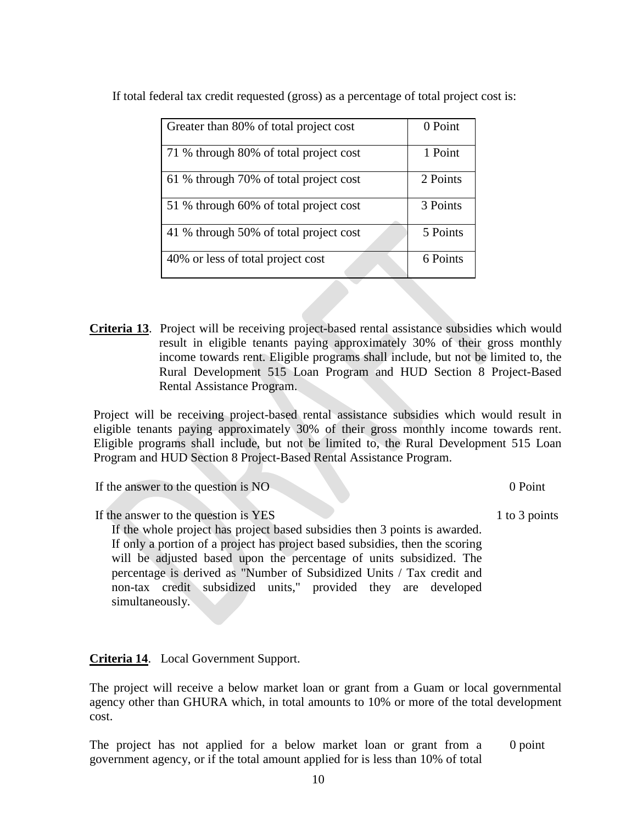| Greater than 80% of total project cost | 0 Point  |
|----------------------------------------|----------|
| 71 % through 80% of total project cost | 1 Point  |
| 61 % through 70% of total project cost | 2 Points |
| 51 % through 60% of total project cost | 3 Points |
| 41 % through 50% of total project cost | 5 Points |
| 40% or less of total project cost      | 6 Points |

If total federal tax credit requested (gross) as a percentage of total project cost is:

**Criteria 13**. Project will be receiving project-based rental assistance subsidies which would result in eligible tenants paying approximately 30% of their gross monthly income towards rent. Eligible programs shall include, but not be limited to, the Rural Development 515 Loan Program and HUD Section 8 Project-Based Rental Assistance Program.

Project will be receiving project-based rental assistance subsidies which would result in eligible tenants paying approximately 30% of their gross monthly income towards rent. Eligible programs shall include, but not be limited to, the Rural Development 515 Loan Program and HUD Section 8 Project-Based Rental Assistance Program.

If the answer to the question is NO 0 Point 1

If the answer to the question is YES

If the whole project has project based subsidies then 3 points is awarded. If only a portion of a project has project based subsidies, then the scoring will be adjusted based upon the percentage of units subsidized. The percentage is derived as "Number of Subsidized Units / Tax credit and non-tax credit subsidized units," provided they are developed simultaneously.

**Criteria 14**. Local Government Support.

The project will receive a below market loan or grant from a Guam or local governmental agency other than GHURA which, in total amounts to 10% or more of the total development cost.

The project has not applied for a below market loan or grant from a government agency, or if the total amount applied for is less than 10% of total 0 point

1 to 3 points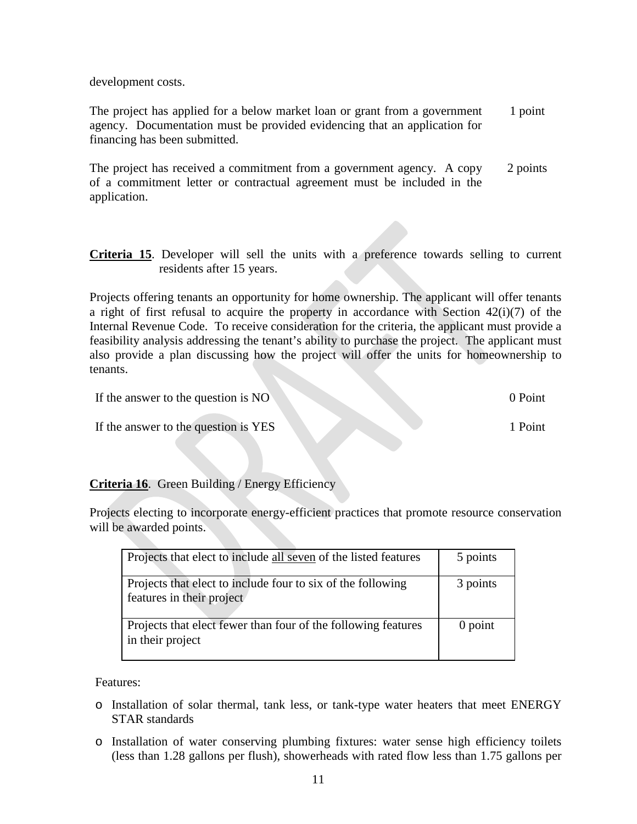development costs.

The project has applied for a below market loan or grant from a government agency. Documentation must be provided evidencing that an application for financing has been submitted. 1 point

The project has received a commitment from a government agency. A copy of a commitment letter or contractual agreement must be included in the application. 2 points

**Criteria 15**. Developer will sell the units with a preference towards selling to current residents after 15 years.

Projects offering tenants an opportunity for home ownership. The applicant will offer tenants a right of first refusal to acquire the property in accordance with Section  $42(i)(7)$  of the Internal Revenue Code. To receive consideration for the criteria, the applicant must provide a feasibility analysis addressing the tenant's ability to purchase the project. The applicant must also provide a plan discussing how the project will offer the units for homeownership to tenants.

| If the answer to the question is NO  | 0 Point |
|--------------------------------------|---------|
| If the answer to the question is YES | 1 Point |

# **Criteria 16**. Green Building / Energy Efficiency

Projects electing to incorporate energy-efficient practices that promote resource conservation will be awarded points.

| Projects that elect to include all seven of the listed features                          | 5 points  |
|------------------------------------------------------------------------------------------|-----------|
| Projects that elect to include four to six of the following<br>features in their project | 3 points  |
| Projects that elect fewer than four of the following features<br>in their project        | $0$ point |

Features:

- o Installation of solar thermal, tank less, or tank-type water heaters that meet ENERGY STAR standards
- o Installation of water conserving plumbing fixtures: water sense high efficiency toilets (less than 1.28 gallons per flush), showerheads with rated flow less than 1.75 gallons per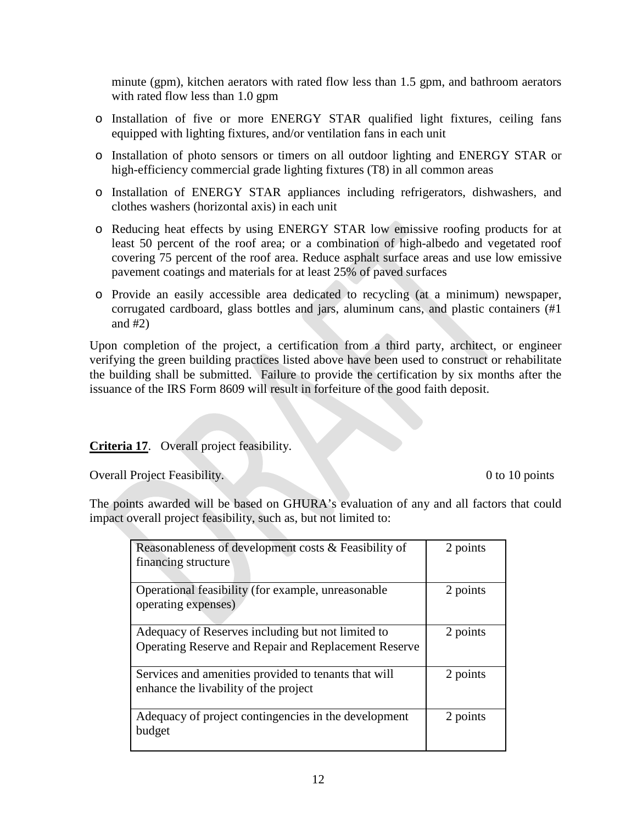minute (gpm), kitchen aerators with rated flow less than 1.5 gpm, and bathroom aerators with rated flow less than 1.0 gpm

- o Installation of five or more ENERGY STAR qualified light fixtures, ceiling fans equipped with lighting fixtures, and/or ventilation fans in each unit
- o Installation of photo sensors or timers on all outdoor lighting and ENERGY STAR or high-efficiency commercial grade lighting fixtures (T8) in all common areas
- o Installation of ENERGY STAR appliances including refrigerators, dishwashers, and clothes washers (horizontal axis) in each unit
- o Reducing heat effects by using ENERGY STAR low emissive roofing products for at least 50 percent of the roof area; or a combination of high-albedo and vegetated roof covering 75 percent of the roof area. Reduce asphalt surface areas and use low emissive pavement coatings and materials for at least 25% of paved surfaces
- o Provide an easily accessible area dedicated to recycling (at a minimum) newspaper, corrugated cardboard, glass bottles and jars, aluminum cans, and plastic containers (#1 and #2)

Upon completion of the project, a certification from a third party, architect, or engineer verifying the green building practices listed above have been used to construct or rehabilitate the building shall be submitted. Failure to provide the certification by six months after the issuance of the IRS Form 8609 will result in forfeiture of the good faith deposit.

# **Criteria 17**. Overall project feasibility.

Overall Project Feasibility. 0 to 10 points

The points awarded will be based on GHURA's evaluation of any and all factors that could impact overall project feasibility, such as, but not limited to:

| Reasonableness of development costs & Feasibility of<br>financing structure                               | 2 points |
|-----------------------------------------------------------------------------------------------------------|----------|
| Operational feasibility (for example, unreasonable<br>operating expenses)                                 | 2 points |
| Adequacy of Reserves including but not limited to<br>Operating Reserve and Repair and Replacement Reserve | 2 points |
| Services and amenities provided to tenants that will<br>enhance the livability of the project             | 2 points |
| Adequacy of project contingencies in the development<br>budget                                            | 2 points |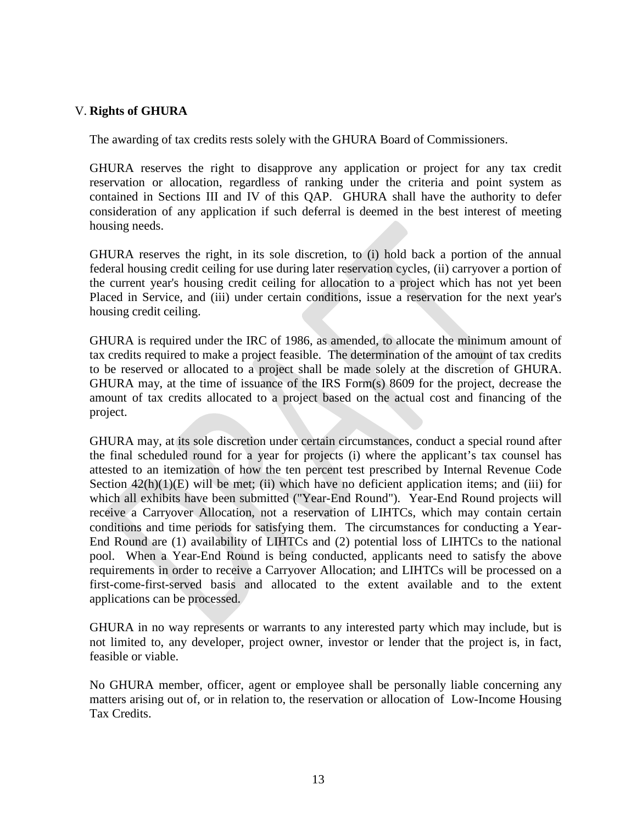# V. **Rights of GHURA**

The awarding of tax credits rests solely with the GHURA Board of Commissioners.

GHURA reserves the right to disapprove any application or project for any tax credit reservation or allocation, regardless of ranking under the criteria and point system as contained in Sections III and IV of this QAP. GHURA shall have the authority to defer consideration of any application if such deferral is deemed in the best interest of meeting housing needs.

GHURA reserves the right, in its sole discretion, to (i) hold back a portion of the annual federal housing credit ceiling for use during later reservation cycles, (ii) carryover a portion of the current year's housing credit ceiling for allocation to a project which has not yet been Placed in Service, and (iii) under certain conditions, issue a reservation for the next year's housing credit ceiling.

GHURA is required under the IRC of 1986, as amended, to allocate the minimum amount of tax credits required to make a project feasible. The determination of the amount of tax credits to be reserved or allocated to a project shall be made solely at the discretion of GHURA. GHURA may, at the time of issuance of the IRS Form(s) 8609 for the project, decrease the amount of tax credits allocated to a project based on the actual cost and financing of the project.

GHURA may, at its sole discretion under certain circumstances, conduct a special round after the final scheduled round for a year for projects (i) where the applicant's tax counsel has attested to an itemization of how the ten percent test prescribed by Internal Revenue Code Section  $42(h)(1)(E)$  will be met; (ii) which have no deficient application items; and (iii) for which all exhibits have been submitted ("Year-End Round"). Year-End Round projects will receive a Carryover Allocation, not a reservation of LIHTCs, which may contain certain conditions and time periods for satisfying them. The circumstances for conducting a Year-End Round are (1) availability of LIHTCs and (2) potential loss of LIHTCs to the national pool. When a Year-End Round is being conducted, applicants need to satisfy the above requirements in order to receive a Carryover Allocation; and LIHTCs will be processed on a first-come-first-served basis and allocated to the extent available and to the extent applications can be processed.

GHURA in no way represents or warrants to any interested party which may include, but is not limited to, any developer, project owner, investor or lender that the project is, in fact, feasible or viable.

No GHURA member, officer, agent or employee shall be personally liable concerning any matters arising out of, or in relation to, the reservation or allocation of Low-Income Housing Tax Credits.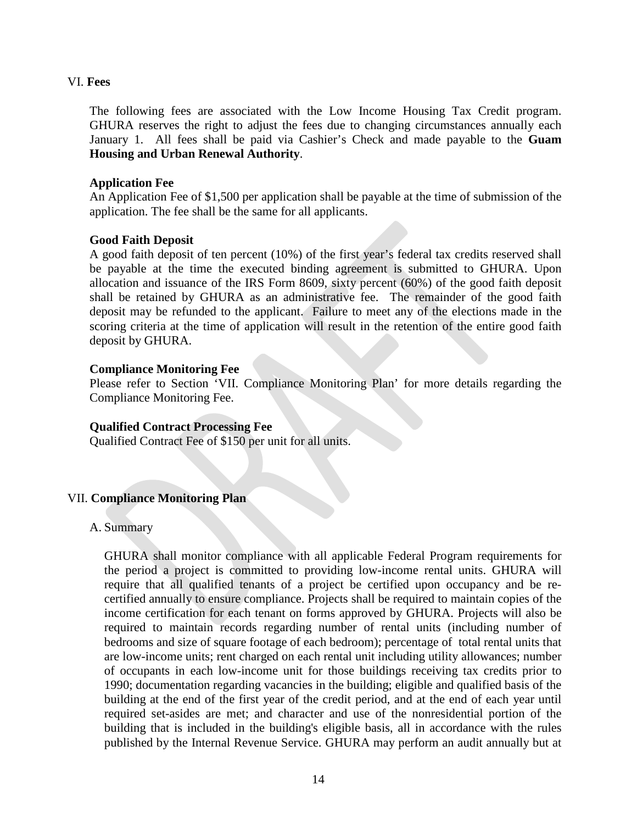## VI. **Fees**

The following fees are associated with the Low Income Housing Tax Credit program. GHURA reserves the right to adjust the fees due to changing circumstances annually each January 1. All fees shall be paid via Cashier's Check and made payable to the **Guam Housing and Urban Renewal Authority**.

## **Application Fee**

An Application Fee of \$1,500 per application shall be payable at the time of submission of the application. The fee shall be the same for all applicants.

# **Good Faith Deposit**

A good faith deposit of ten percent (10%) of the first year's federal tax credits reserved shall be payable at the time the executed binding agreement is submitted to GHURA. Upon allocation and issuance of the IRS Form 8609, sixty percent (60%) of the good faith deposit shall be retained by GHURA as an administrative fee. The remainder of the good faith deposit may be refunded to the applicant. Failure to meet any of the elections made in the scoring criteria at the time of application will result in the retention of the entire good faith deposit by GHURA.

## **Compliance Monitoring Fee**

Please refer to Section 'VII. Compliance Monitoring Plan' for more details regarding the Compliance Monitoring Fee.

# **Qualified Contract Processing Fee**

Qualified Contract Fee of \$150 per unit for all units.

# VII. **Compliance Monitoring Plan**

# A. Summary

GHURA shall monitor compliance with all applicable Federal Program requirements for the period a project is committed to providing low-income rental units. GHURA will require that all qualified tenants of a project be certified upon occupancy and be recertified annually to ensure compliance. Projects shall be required to maintain copies of the income certification for each tenant on forms approved by GHURA. Projects will also be required to maintain records regarding number of rental units (including number of bedrooms and size of square footage of each bedroom); percentage of total rental units that are low-income units; rent charged on each rental unit including utility allowances; number of occupants in each low-income unit for those buildings receiving tax credits prior to 1990; documentation regarding vacancies in the building; eligible and qualified basis of the building at the end of the first year of the credit period, and at the end of each year until required set-asides are met; and character and use of the nonresidential portion of the building that is included in the building's eligible basis, all in accordance with the rules published by the Internal Revenue Service. GHURA may perform an audit annually but at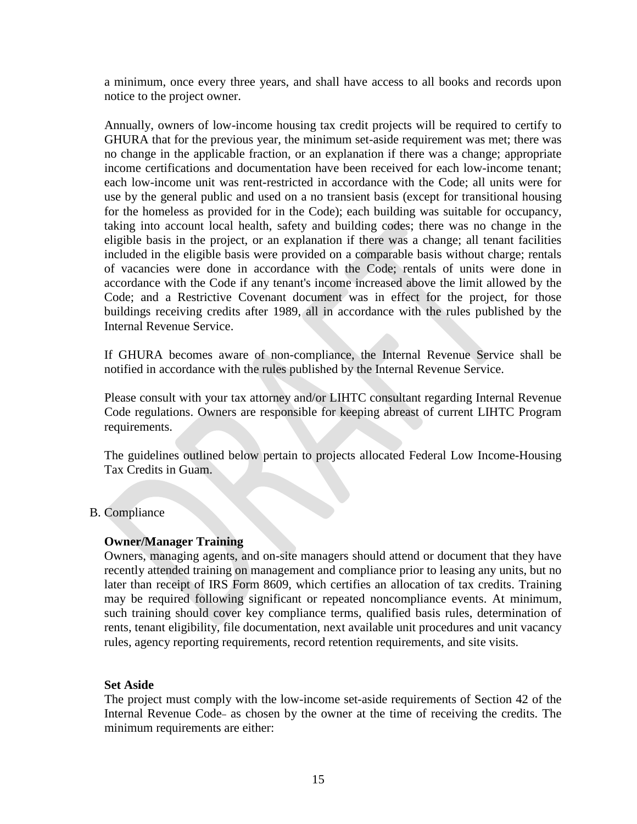a minimum, once every three years, and shall have access to all books and records upon notice to the project owner.

Annually, owners of low-income housing tax credit projects will be required to certify to GHURA that for the previous year, the minimum set-aside requirement was met; there was no change in the applicable fraction, or an explanation if there was a change; appropriate income certifications and documentation have been received for each low-income tenant; each low-income unit was rent-restricted in accordance with the Code; all units were for use by the general public and used on a no transient basis (except for transitional housing for the homeless as provided for in the Code); each building was suitable for occupancy, taking into account local health, safety and building codes; there was no change in the eligible basis in the project, or an explanation if there was a change; all tenant facilities included in the eligible basis were provided on a comparable basis without charge; rentals of vacancies were done in accordance with the Code; rentals of units were done in accordance with the Code if any tenant's income increased above the limit allowed by the Code; and a Restrictive Covenant document was in effect for the project, for those buildings receiving credits after 1989, all in accordance with the rules published by the Internal Revenue Service.

If GHURA becomes aware of non-compliance, the Internal Revenue Service shall be notified in accordance with the rules published by the Internal Revenue Service.

Please consult with your tax attorney and/or LIHTC consultant regarding Internal Revenue Code regulations. Owners are responsible for keeping abreast of current LIHTC Program requirements.

The guidelines outlined below pertain to projects allocated Federal Low Income-Housing Tax Credits in Guam.

### B. Compliance

#### **Owner/Manager Training**

Owners, managing agents, and on-site managers should attend or document that they have recently attended training on management and compliance prior to leasing any units, but no later than receipt of IRS Form 8609, which certifies an allocation of tax credits. Training may be required following significant or repeated noncompliance events. At minimum, such training should cover key compliance terms, qualified basis rules, determination of rents, tenant eligibility, file documentation, next available unit procedures and unit vacancy rules, agency reporting requirements, record retention requirements, and site visits.

#### **Set Aside**

The project must comply with the low-income set-aside requirements of Section 42 of the Internal Revenue Code- as chosen by the owner at the time of receiving the credits. The minimum requirements are either: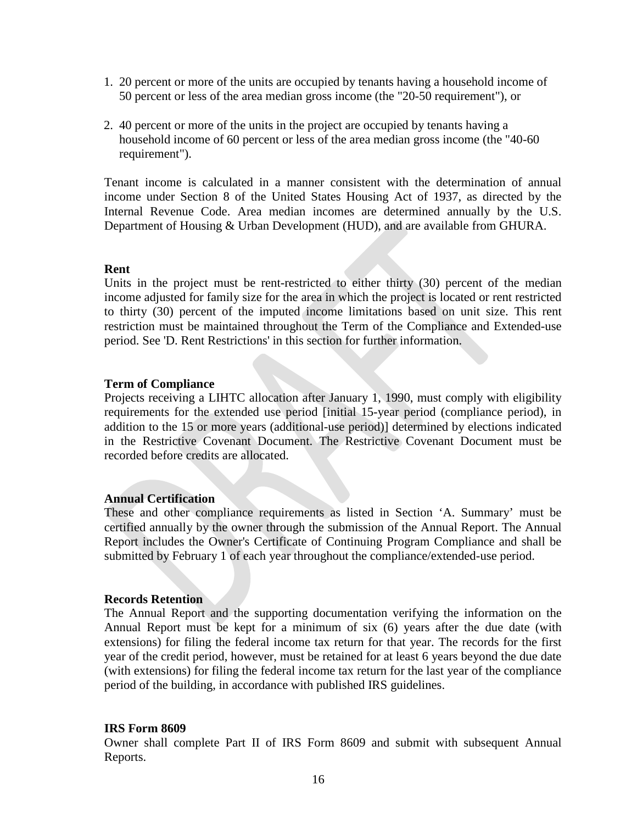- 1. 20 percent or more of the units are occupied by tenants having a household income of 50 percent or less of the area median gross income (the "20-50 requirement"), or
- 2. 40 percent or more of the units in the project are occupied by tenants having a household income of 60 percent or less of the area median gross income (the "40-60 requirement").

Tenant income is calculated in a manner consistent with the determination of annual income under Section 8 of the United States Housing Act of 1937, as directed by the Internal Revenue Code. Area median incomes are determined annually by the U.S. Department of Housing & Urban Development (HUD), and are available from GHURA.

#### **Rent**

Units in the project must be rent-restricted to either thirty (30) percent of the median income adjusted for family size for the area in which the project is located or rent restricted to thirty (30) percent of the imputed income limitations based on unit size. This rent restriction must be maintained throughout the Term of the Compliance and Extended-use period. See 'D. Rent Restrictions' in this section for further information.

#### **Term of Compliance**

Projects receiving a LIHTC allocation after January 1, 1990, must comply with eligibility requirements for the extended use period [initial 15-year period (compliance period), in addition to the 15 or more years (additional-use period)] determined by elections indicated in the Restrictive Covenant Document. The Restrictive Covenant Document must be recorded before credits are allocated.

#### **Annual Certification**

These and other compliance requirements as listed in Section 'A. Summary' must be certified annually by the owner through the submission of the Annual Report. The Annual Report includes the Owner's Certificate of Continuing Program Compliance and shall be submitted by February 1 of each year throughout the compliance/extended-use period.

#### **Records Retention**

The Annual Report and the supporting documentation verifying the information on the Annual Report must be kept for a minimum of six (6) years after the due date (with extensions) for filing the federal income tax return for that year. The records for the first year of the credit period, however, must be retained for at least 6 years beyond the due date (with extensions) for filing the federal income tax return for the last year of the compliance period of the building, in accordance with published IRS guidelines.

#### **IRS Form 8609**

Owner shall complete Part II of IRS Form 8609 and submit with subsequent Annual Reports.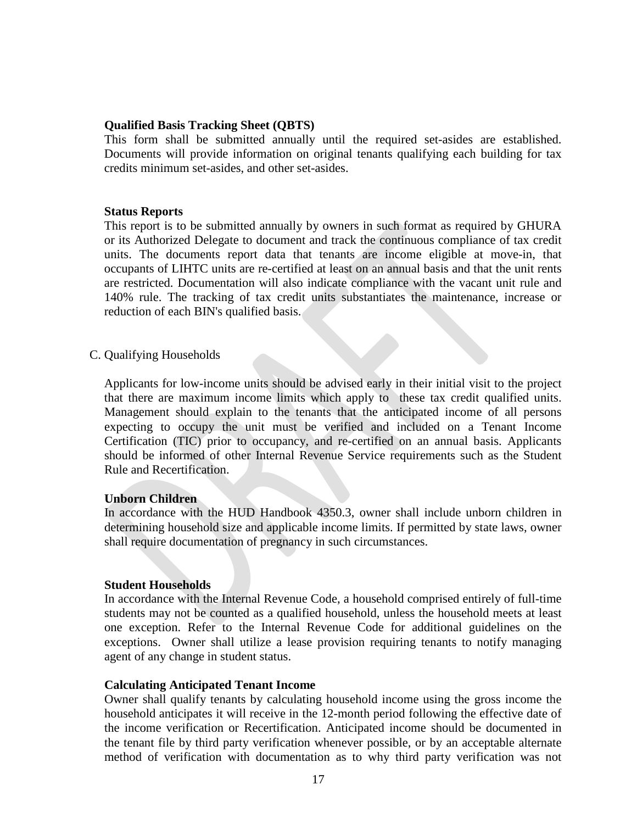### **Qualified Basis Tracking Sheet (QBTS)**

This form shall be submitted annually until the required set-asides are established. Documents will provide information on original tenants qualifying each building for tax credits minimum set-asides, and other set-asides.

#### **Status Reports**

This report is to be submitted annually by owners in such format as required by GHURA or its Authorized Delegate to document and track the continuous compliance of tax credit units. The documents report data that tenants are income eligible at move-in, that occupants of LIHTC units are re-certified at least on an annual basis and that the unit rents are restricted. Documentation will also indicate compliance with the vacant unit rule and 140% rule. The tracking of tax credit units substantiates the maintenance, increase or reduction of each BIN's qualified basis.

C. Qualifying Households

Applicants for low-income units should be advised early in their initial visit to the project that there are maximum income limits which apply to these tax credit qualified units. Management should explain to the tenants that the anticipated income of all persons expecting to occupy the unit must be verified and included on a Tenant Income Certification (TIC) prior to occupancy, and re-certified on an annual basis. Applicants should be informed of other Internal Revenue Service requirements such as the Student Rule and Recertification.

#### **Unborn Children**

In accordance with the HUD Handbook 4350.3, owner shall include unborn children in determining household size and applicable income limits. If permitted by state laws, owner shall require documentation of pregnancy in such circumstances.

#### **Student Households**

In accordance with the Internal Revenue Code, a household comprised entirely of full-time students may not be counted as a qualified household, unless the household meets at least one exception. Refer to the Internal Revenue Code for additional guidelines on the exceptions. Owner shall utilize a lease provision requiring tenants to notify managing agent of any change in student status.

#### **Calculating Anticipated Tenant Income**

Owner shall qualify tenants by calculating household income using the gross income the household anticipates it will receive in the 12-month period following the effective date of the income verification or Recertification. Anticipated income should be documented in the tenant file by third party verification whenever possible, or by an acceptable alternate method of verification with documentation as to why third party verification was not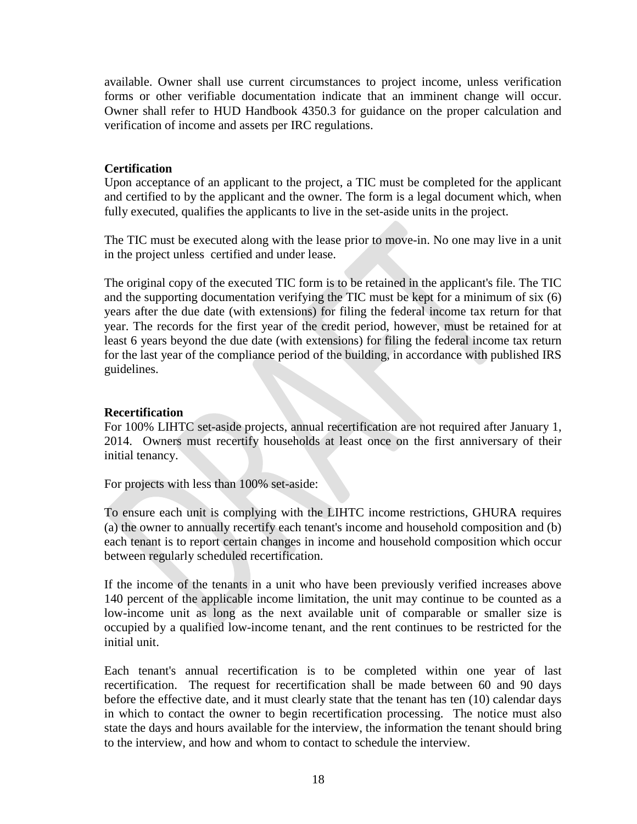available. Owner shall use current circumstances to project income, unless verification forms or other verifiable documentation indicate that an imminent change will occur. Owner shall refer to HUD Handbook 4350.3 for guidance on the proper calculation and verification of income and assets per IRC regulations.

# **Certification**

Upon acceptance of an applicant to the project, a TIC must be completed for the applicant and certified to by the applicant and the owner. The form is a legal document which, when fully executed, qualifies the applicants to live in the set-aside units in the project.

The TIC must be executed along with the lease prior to move-in. No one may live in a unit in the project unless certified and under lease.

The original copy of the executed TIC form is to be retained in the applicant's file. The TIC and the supporting documentation verifying the TIC must be kept for a minimum of six (6) years after the due date (with extensions) for filing the federal income tax return for that year. The records for the first year of the credit period, however, must be retained for at least 6 years beyond the due date (with extensions) for filing the federal income tax return for the last year of the compliance period of the building, in accordance with published IRS guidelines.

# **Recertification**

For 100% LIHTC set-aside projects, annual recertification are not required after January 1, 2014. Owners must recertify households at least once on the first anniversary of their initial tenancy.

For projects with less than 100% set-aside:

To ensure each unit is complying with the LIHTC income restrictions, GHURA requires (a) the owner to annually recertify each tenant's income and household composition and (b) each tenant is to report certain changes in income and household composition which occur between regularly scheduled recertification.

If the income of the tenants in a unit who have been previously verified increases above 140 percent of the applicable income limitation, the unit may continue to be counted as a low-income unit as long as the next available unit of comparable or smaller size is occupied by a qualified low-income tenant, and the rent continues to be restricted for the initial unit.

Each tenant's annual recertification is to be completed within one year of last recertification. The request for recertification shall be made between 60 and 90 days before the effective date, and it must clearly state that the tenant has ten (10) calendar days in which to contact the owner to begin recertification processing. The notice must also state the days and hours available for the interview, the information the tenant should bring to the interview, and how and whom to contact to schedule the interview.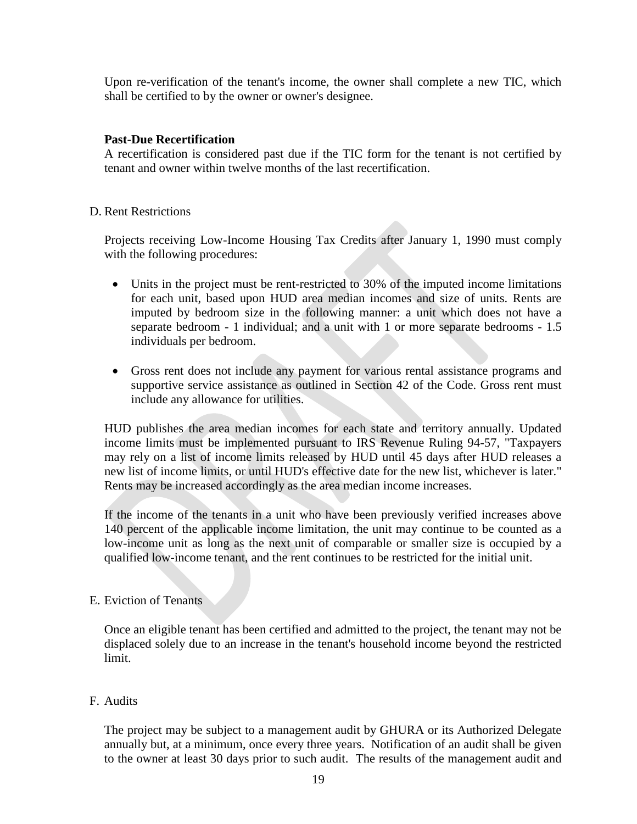Upon re-verification of the tenant's income, the owner shall complete a new TIC, which shall be certified to by the owner or owner's designee.

# **Past-Due Recertification**

A recertification is considered past due if the TIC form for the tenant is not certified by tenant and owner within twelve months of the last recertification.

# D. Rent Restrictions

Projects receiving Low-Income Housing Tax Credits after January 1, 1990 must comply with the following procedures:

- Units in the project must be rent-restricted to 30% of the imputed income limitations for each unit, based upon HUD area median incomes and size of units. Rents are imputed by bedroom size in the following manner: a unit which does not have a separate bedroom - 1 individual; and a unit with 1 or more separate bedrooms - 1.5 individuals per bedroom.
- Gross rent does not include any payment for various rental assistance programs and supportive service assistance as outlined in Section 42 of the Code. Gross rent must include any allowance for utilities.

HUD publishes the area median incomes for each state and territory annually. Updated income limits must be implemented pursuant to IRS Revenue Ruling 94-57, "Taxpayers may rely on a list of income limits released by HUD until 45 days after HUD releases a new list of income limits, or until HUD's effective date for the new list, whichever is later." Rents may be increased accordingly as the area median income increases.

If the income of the tenants in a unit who have been previously verified increases above 140 percent of the applicable income limitation, the unit may continue to be counted as a low-income unit as long as the next unit of comparable or smaller size is occupied by a qualified low-income tenant, and the rent continues to be restricted for the initial unit.

# E. Eviction of Tenants

Once an eligible tenant has been certified and admitted to the project, the tenant may not be displaced solely due to an increase in the tenant's household income beyond the restricted limit.

# F. Audits

The project may be subject to a management audit by GHURA or its Authorized Delegate annually but, at a minimum, once every three years. Notification of an audit shall be given to the owner at least 30 days prior to such audit. The results of the management audit and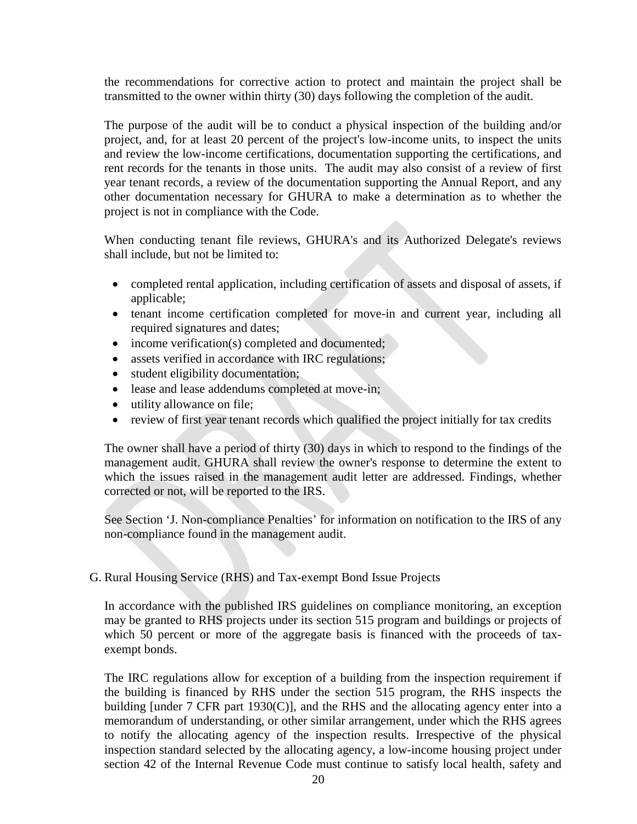the recommendations for corrective action to protect and maintain the project shall be transmitted to the owner within thirty (30) days following the completion of the audit.

The purpose of the audit will be to conduct a physical inspection of the building and/or project, and, for at least 20 percent of the project's low-income units, to inspect the units and review the low-income certifications, documentation supporting the certifications, and rent records for the tenants in those units. The audit may also consist of a review of first year tenant records, a review of the documentation supporting the Annual Report, and any other documentation necessary for GHURA to make a determination as to whether the project is not in compliance with the Code.

When conducting tenant file reviews, GHURA's and its Authorized Delegate's reviews shall include, but not be limited to:

- completed rental application, including certification of assets and disposal of assets, if applicable;
- tenant income certification completed for move-in and current year, including all required signatures and dates;
- income verification(s) completed and documented;
- assets verified in accordance with IRC regulations;
- student eligibility documentation;
- lease and lease addendums completed at move-in;
- utility allowance on file;
- review of first year tenant records which qualified the project initially for tax credits

The owner shall have a period of thirty (30) days in which to respond to the findings of the management audit. GHURA shall review the owner's response to determine the extent to which the issues raised in the management audit letter are addressed. Findings, whether corrected or not, will be reported to the IRS.

See Section 'J. Non-compliance Penalties' for information on notification to the IRS of any non-compliance found in the management audit.

G. Rural Housing Service (RHS) and Tax-exempt Bond Issue Projects

In accordance with the published IRS guidelines on compliance monitoring, an exception may be granted to RHS projects under its section 515 program and buildings or projects of which 50 percent or more of the aggregate basis is financed with the proceeds of taxexempt bonds.

The IRC regulations allow for exception of a building from the inspection requirement if the building is financed by RHS under the section 515 program, the RHS inspects the building [under 7 CFR part 1930(C)], and the RHS and the allocating agency enter into a memorandum of understanding, or other similar arrangement, under which the RHS agrees to notify the allocating agency of the inspection results. Irrespective of the physical inspection standard selected by the allocating agency, a low-income housing project under section 42 of the Internal Revenue Code must continue to satisfy local health, safety and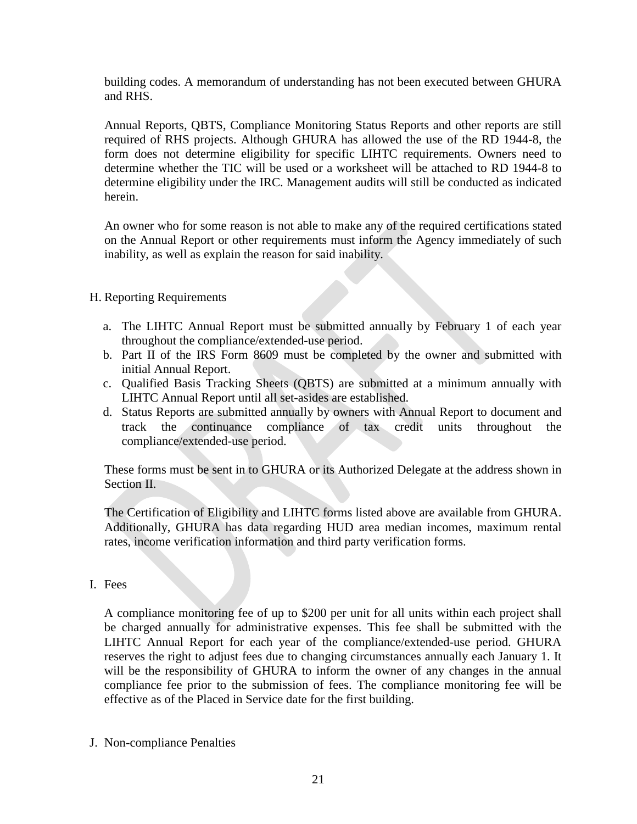building codes. A memorandum of understanding has not been executed between GHURA and RHS.

Annual Reports, QBTS, Compliance Monitoring Status Reports and other reports are still required of RHS projects. Although GHURA has allowed the use of the RD 1944-8, the form does not determine eligibility for specific LIHTC requirements. Owners need to determine whether the TIC will be used or a worksheet will be attached to RD 1944-8 to determine eligibility under the IRC. Management audits will still be conducted as indicated herein.

An owner who for some reason is not able to make any of the required certifications stated on the Annual Report or other requirements must inform the Agency immediately of such inability, as well as explain the reason for said inability.

# H. Reporting Requirements

- a. The LIHTC Annual Report must be submitted annually by February 1 of each year throughout the compliance/extended-use period.
- b. Part II of the IRS Form 8609 must be completed by the owner and submitted with initial Annual Report.
- c. Qualified Basis Tracking Sheets (QBTS) are submitted at a minimum annually with LIHTC Annual Report until all set-asides are established.
- d. Status Reports are submitted annually by owners with Annual Report to document and track the continuance compliance of tax credit units throughout the compliance/extended-use period.

These forms must be sent in to GHURA or its Authorized Delegate at the address shown in Section II.

The Certification of Eligibility and LIHTC forms listed above are available from GHURA. Additionally, GHURA has data regarding HUD area median incomes, maximum rental rates, income verification information and third party verification forms.

I. Fees

A compliance monitoring fee of up to \$200 per unit for all units within each project shall be charged annually for administrative expenses. This fee shall be submitted with the LIHTC Annual Report for each year of the compliance/extended-use period. GHURA reserves the right to adjust fees due to changing circumstances annually each January 1. It will be the responsibility of GHURA to inform the owner of any changes in the annual compliance fee prior to the submission of fees. The compliance monitoring fee will be effective as of the Placed in Service date for the first building.

J. Non-compliance Penalties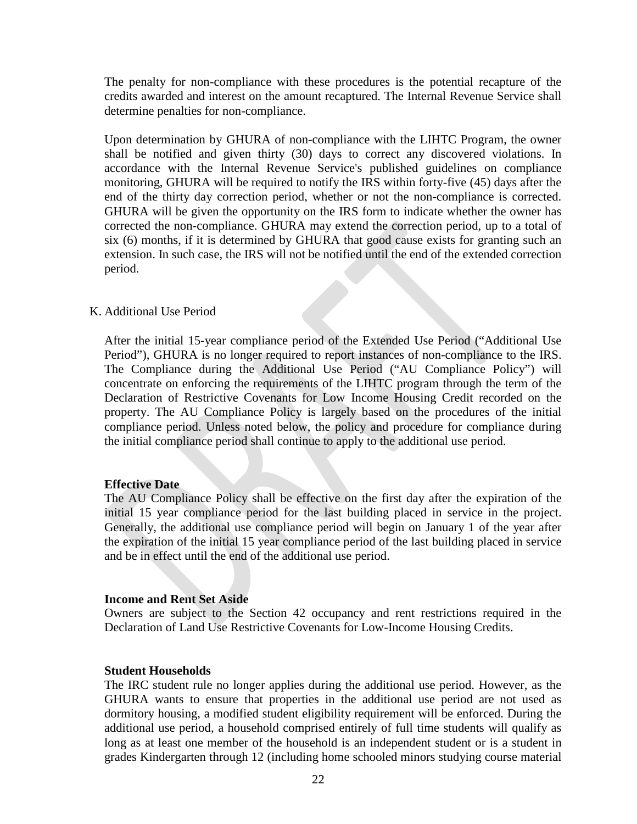The penalty for non-compliance with these procedures is the potential recapture of the credits awarded and interest on the amount recaptured. The Internal Revenue Service shall determine penalties for non-compliance.

Upon determination by GHURA of non-compliance with the LIHTC Program, the owner shall be notified and given thirty (30) days to correct any discovered violations. In accordance with the Internal Revenue Service's published guidelines on compliance monitoring, GHURA will be required to notify the IRS within forty-five (45) days after the end of the thirty day correction period, whether or not the non-compliance is corrected. GHURA will be given the opportunity on the IRS form to indicate whether the owner has corrected the non-compliance. GHURA may extend the correction period, up to a total of six (6) months, if it is determined by GHURA that good cause exists for granting such an extension. In such case, the IRS will not be notified until the end of the extended correction period.

#### K. Additional Use Period

After the initial 15-year compliance period of the Extended Use Period ("Additional Use Period"), GHURA is no longer required to report instances of non-compliance to the IRS. The Compliance during the Additional Use Period ("AU Compliance Policy") will concentrate on enforcing the requirements of the LIHTC program through the term of the Declaration of Restrictive Covenants for Low Income Housing Credit recorded on the property. The AU Compliance Policy is largely based on the procedures of the initial compliance period. Unless noted below, the policy and procedure for compliance during the initial compliance period shall continue to apply to the additional use period.

#### **Effective Date**

The AU Compliance Policy shall be effective on the first day after the expiration of the initial 15 year compliance period for the last building placed in service in the project. Generally, the additional use compliance period will begin on January 1 of the year after the expiration of the initial 15 year compliance period of the last building placed in service and be in effect until the end of the additional use period.

#### **Income and Rent Set Aside**

Owners are subject to the Section 42 occupancy and rent restrictions required in the Declaration of Land Use Restrictive Covenants for Low-Income Housing Credits.

#### **Student Households**

The IRC student rule no longer applies during the additional use period. However, as the GHURA wants to ensure that properties in the additional use period are not used as dormitory housing, a modified student eligibility requirement will be enforced. During the additional use period, a household comprised entirely of full time students will qualify as long as at least one member of the household is an independent student or is a student in grades Kindergarten through 12 (including home schooled minors studying course material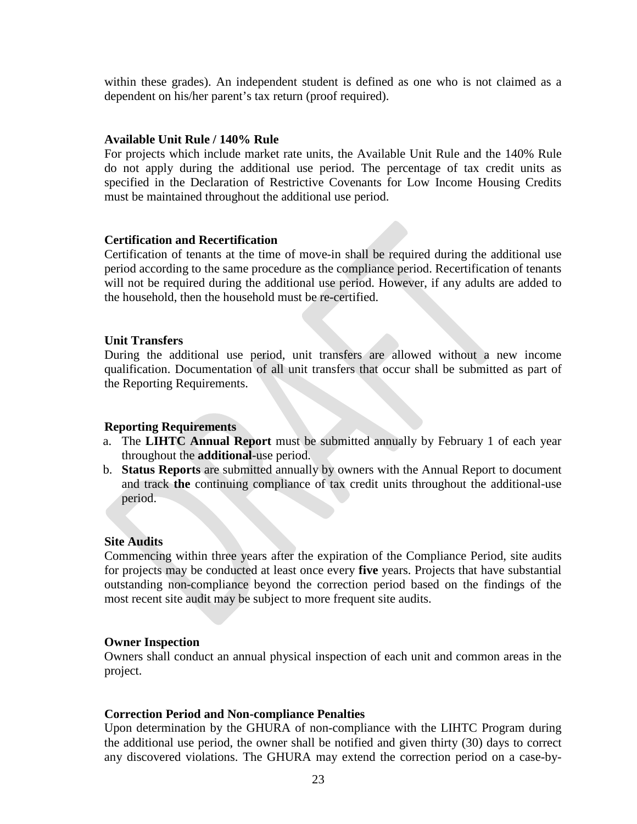within these grades). An independent student is defined as one who is not claimed as a dependent on his/her parent's tax return (proof required).

# **Available Unit Rule / 140% Rule**

For projects which include market rate units, the Available Unit Rule and the 140% Rule do not apply during the additional use period. The percentage of tax credit units as specified in the Declaration of Restrictive Covenants for Low Income Housing Credits must be maintained throughout the additional use period.

# **Certification and Recertification**

Certification of tenants at the time of move-in shall be required during the additional use period according to the same procedure as the compliance period. Recertification of tenants will not be required during the additional use period. However, if any adults are added to the household, then the household must be re-certified.

# **Unit Transfers**

During the additional use period, unit transfers are allowed without a new income qualification. Documentation of all unit transfers that occur shall be submitted as part of the Reporting Requirements.

# **Reporting Requirements**

- a. The **LIHTC Annual Report** must be submitted annually by February 1 of each year throughout the **additional**-use period.
- b. **Status Reports** are submitted annually by owners with the Annual Report to document and track **the** continuing compliance of tax credit units throughout the additional-use period.

# **Site Audits**

Commencing within three years after the expiration of the Compliance Period, site audits for projects may be conducted at least once every **five** years. Projects that have substantial outstanding non-compliance beyond the correction period based on the findings of the most recent site audit may be subject to more frequent site audits.

# **Owner Inspection**

Owners shall conduct an annual physical inspection of each unit and common areas in the project.

# **Correction Period and Non-compliance Penalties**

Upon determination by the GHURA of non-compliance with the LIHTC Program during the additional use period, the owner shall be notified and given thirty (30) days to correct any discovered violations. The GHURA may extend the correction period on a case-by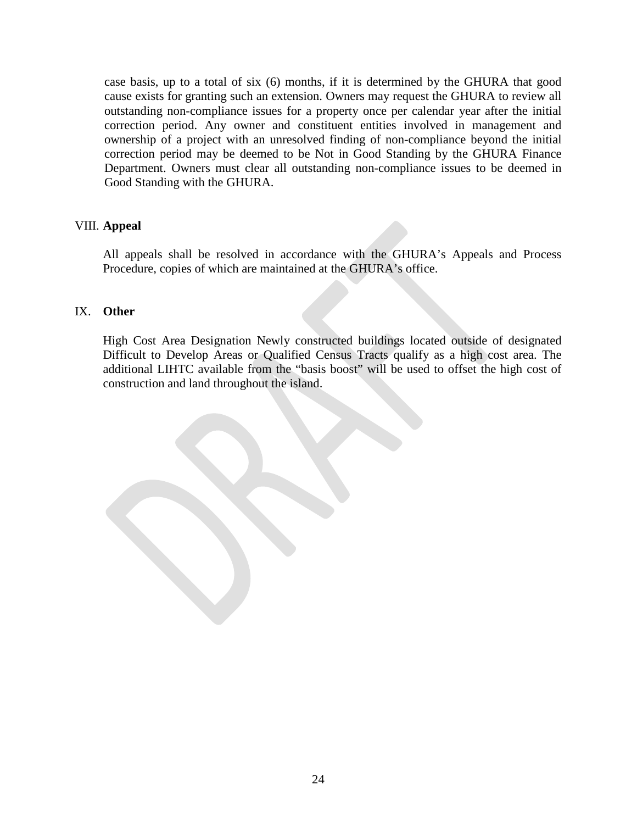case basis, up to a total of six (6) months, if it is determined by the GHURA that good cause exists for granting such an extension. Owners may request the GHURA to review all outstanding non-compliance issues for a property once per calendar year after the initial correction period. Any owner and constituent entities involved in management and ownership of a project with an unresolved finding of non-compliance beyond the initial correction period may be deemed to be Not in Good Standing by the GHURA Finance Department. Owners must clear all outstanding non-compliance issues to be deemed in Good Standing with the GHURA.

# VIII. **Appeal**

All appeals shall be resolved in accordance with the GHURA's Appeals and Process Procedure, copies of which are maintained at the GHURA's office.

# IX. **Other**

High Cost Area Designation Newly constructed buildings located outside of designated Difficult to Develop Areas or Qualified Census Tracts qualify as a high cost area. The additional LIHTC available from the "basis boost" will be used to offset the high cost of construction and land throughout the island.